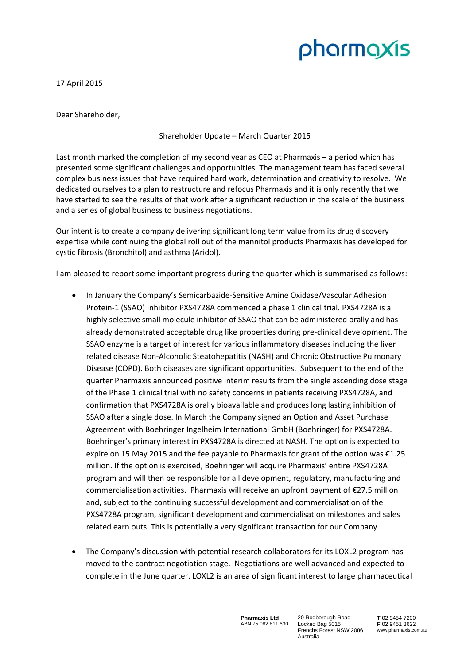# pharmaxis

17 April 2015

Dear Shareholder,

## Shareholder Update – March Quarter 2015

Last month marked the completion of my second year as CEO at Pharmaxis – a period which has presented some significant challenges and opportunities. The management team has faced several complex business issues that have required hard work, determination and creativity to resolve. We dedicated ourselves to a plan to restructure and refocus Pharmaxis and it is only recently that we have started to see the results of that work after a significant reduction in the scale of the business and a series of global business to business negotiations.

Our intent is to create a company delivering significant long term value from its drug discovery expertise while continuing the global roll out of the mannitol products Pharmaxis has developed for cystic fibrosis (Bronchitol) and asthma (Aridol).

I am pleased to report some important progress during the quarter which is summarised as follows:

- In January the Company's Semicarbazide-Sensitive Amine Oxidase/Vascular Adhesion Protein‐1 (SSAO) Inhibitor PXS4728A commenced a phase 1 clinical trial. PXS4728A is a highly selective small molecule inhibitor of SSAO that can be administered orally and has already demonstrated acceptable drug like properties during pre‐clinical development. The SSAO enzyme is a target of interest for various inflammatory diseases including the liver related disease Non‐Alcoholic Steatohepatitis (NASH) and Chronic Obstructive Pulmonary Disease (COPD). Both diseases are significant opportunities. Subsequent to the end of the quarter Pharmaxis announced positive interim results from the single ascending dose stage of the Phase 1 clinical trial with no safety concerns in patients receiving PXS4728A, and confirmation that PXS4728A is orally bioavailable and produces long lasting inhibition of SSAO after a single dose. In March the Company signed an Option and Asset Purchase Agreement with Boehringer Ingelheim International GmbH (Boehringer) for PXS4728A. Boehringer's primary interest in PXS4728A is directed at NASH. The option is expected to expire on 15 May 2015 and the fee payable to Pharmaxis for grant of the option was  $\epsilon$ 1.25 million. If the option is exercised, Boehringer will acquire Pharmaxis' entire PXS4728A program and will then be responsible for all development, regulatory, manufacturing and commercialisation activities. Pharmaxis will receive an upfront payment of €27.5 million and, subject to the continuing successful development and commercialisation of the PXS4728A program, significant development and commercialisation milestones and sales related earn outs. This is potentially a very significant transaction for our Company.
- The Company's discussion with potential research collaborators for its LOXL2 program has moved to the contract negotiation stage. Negotiations are well advanced and expected to complete in the June quarter. LOXL2 is an area of significant interest to large pharmaceutical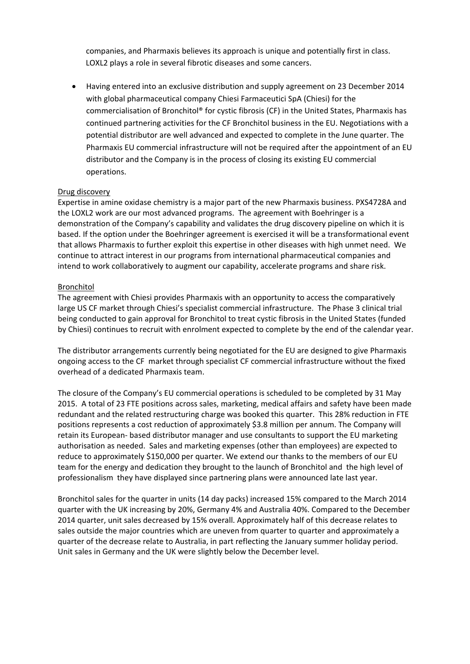companies, and Pharmaxis believes its approach is unique and potentially first in class. LOXL2 plays a role in several fibrotic diseases and some cancers.

 Having entered into an exclusive distribution and supply agreement on 23 December 2014 with global pharmaceutical company Chiesi Farmaceutici SpA (Chiesi) for the commercialisation of Bronchitol® for cystic fibrosis (CF) in the United States, Pharmaxis has continued partnering activities for the CF Bronchitol business in the EU. Negotiations with a potential distributor are well advanced and expected to complete in the June quarter. The Pharmaxis EU commercial infrastructure will not be required after the appointment of an EU distributor and the Company is in the process of closing its existing EU commercial operations.

### Drug discovery

Expertise in amine oxidase chemistry is a major part of the new Pharmaxis business. PXS4728A and the LOXL2 work are our most advanced programs. The agreement with Boehringer is a demonstration of the Company's capability and validates the drug discovery pipeline on which it is based. If the option under the Boehringer agreement is exercised it will be a transformational event that allows Pharmaxis to further exploit this expertise in other diseases with high unmet need. We continue to attract interest in our programs from international pharmaceutical companies and intend to work collaboratively to augment our capability, accelerate programs and share risk.

#### Bronchitol

The agreement with Chiesi provides Pharmaxis with an opportunity to access the comparatively large US CF market through Chiesi's specialist commercial infrastructure. The Phase 3 clinical trial being conducted to gain approval for Bronchitol to treat cystic fibrosis in the United States (funded by Chiesi) continues to recruit with enrolment expected to complete by the end of the calendar year.

The distributor arrangements currently being negotiated for the EU are designed to give Pharmaxis ongoing access to the CF market through specialist CF commercial infrastructure without the fixed overhead of a dedicated Pharmaxis team.

The closure of the Company's EU commercial operations is scheduled to be completed by 31 May 2015. A total of 23 FTE positions across sales, marketing, medical affairs and safety have been made redundant and the related restructuring charge was booked this quarter. This 28% reduction in FTE positions represents a cost reduction of approximately \$3.8 million per annum. The Company will retain its European‐ based distributor manager and use consultants to support the EU marketing authorisation as needed. Sales and marketing expenses (other than employees) are expected to reduce to approximately \$150,000 per quarter. We extend our thanks to the members of our EU team for the energy and dedication they brought to the launch of Bronchitol and the high level of professionalism they have displayed since partnering plans were announced late last year.

Bronchitol sales for the quarter in units (14 day packs) increased 15% compared to the March 2014 quarter with the UK increasing by 20%, Germany 4% and Australia 40%. Compared to the December 2014 quarter, unit sales decreased by 15% overall. Approximately half of this decrease relates to sales outside the major countries which are uneven from quarter to quarter and approximately a quarter of the decrease relate to Australia, in part reflecting the January summer holiday period. Unit sales in Germany and the UK were slightly below the December level.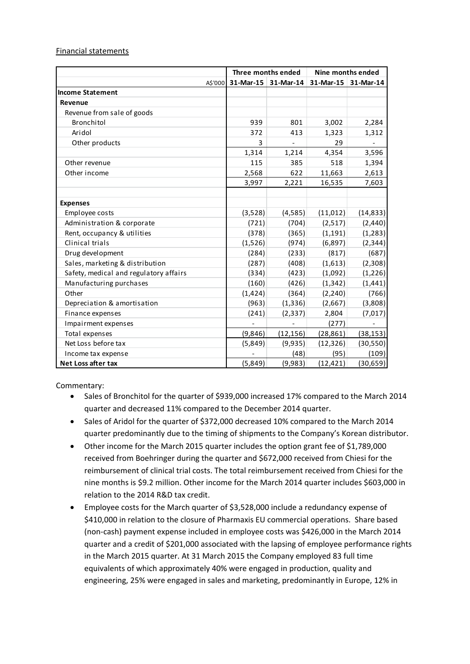### Financial statements

|                                        | Three months ended |                     | Nine months ended |           |
|----------------------------------------|--------------------|---------------------|-------------------|-----------|
| A\$'000                                |                    | 31-Mar-15 31-Mar-14 | 31-Mar-15         | 31-Mar-14 |
| <b>Income Statement</b>                |                    |                     |                   |           |
| Revenue                                |                    |                     |                   |           |
| Revenue from sale of goods             |                    |                     |                   |           |
| Bronchitol                             | 939                | 801                 | 3,002             | 2,284     |
| Aridol                                 | 372                | 413                 | 1,323             | 1,312     |
| Other products                         | 3                  |                     | 29                |           |
|                                        | 1,314              | 1,214               | 4,354             | 3,596     |
| Other revenue                          | 115                | 385                 | 518               | 1,394     |
| Other income                           | 2,568              | 622                 | 11,663            | 2,613     |
|                                        | 3,997              | 2,221               | 16,535            | 7,603     |
|                                        |                    |                     |                   |           |
| <b>Expenses</b>                        |                    |                     |                   |           |
| Employee costs                         | (3,528)            | (4,585)             | (11, 012)         | (14, 833) |
| Administration & corporate             | (721)              | (704)               | (2,517)           | (2,440)   |
| Rent, occupancy & utilities            | (378)              | (365)               | (1, 191)          | (1, 283)  |
| Clinical trials                        | (1,526)            | (974)               | (6, 897)          | (2, 344)  |
| Drug development                       | (284)              | (233)               | (817)             | (687)     |
| Sales, marketing & distribution        | (287)              | (408)               | (1,613)           | (2,308)   |
| Safety, medical and regulatory affairs | (334)              | (423)               | (1,092)           | (1, 226)  |
| Manufacturing purchases                | (160)              | (426)               | (1, 342)          | (1, 441)  |
| Other                                  | (1, 424)           | (364)               | (2, 240)          | (766)     |
| Depreciation & amortisation            | (963)              | (1, 336)            | (2,667)           | (3,808)   |
| Finance expenses                       | (241)              | (2, 337)            | 2,804             | (7,017)   |
| Impairment expenses                    |                    |                     | (277)             |           |
| Total expenses                         | (9,846)            | (12, 156)           | (28, 861)         | (38, 153) |
| Net Loss before tax                    | (5,849)            | (9,935)             | (12, 326)         | (30, 550) |
| Income tax expense                     |                    | (48)                | (95)              | (109)     |
| Net Loss after tax                     | (5,849)            | (9,983)             | (12, 421)         | (30, 659) |

Commentary:

- Sales of Bronchitol for the quarter of \$939,000 increased 17% compared to the March 2014 quarter and decreased 11% compared to the December 2014 quarter.
- Sales of Aridol for the quarter of \$372,000 decreased 10% compared to the March 2014 quarter predominantly due to the timing of shipments to the Company's Korean distributor.
- Other income for the March 2015 quarter includes the option grant fee of \$1,789,000 received from Boehringer during the quarter and \$672,000 received from Chiesi for the reimbursement of clinical trial costs. The total reimbursement received from Chiesi for the nine months is \$9.2 million. Other income for the March 2014 quarter includes \$603,000 in relation to the 2014 R&D tax credit.
- Employee costs for the March quarter of \$3,528,000 include a redundancy expense of \$410,000 in relation to the closure of Pharmaxis EU commercial operations. Share based (non‐cash) payment expense included in employee costs was \$426,000 in the March 2014 quarter and a credit of \$201,000 associated with the lapsing of employee performance rights in the March 2015 quarter. At 31 March 2015 the Company employed 83 full time equivalents of which approximately 40% were engaged in production, quality and engineering, 25% were engaged in sales and marketing, predominantly in Europe, 12% in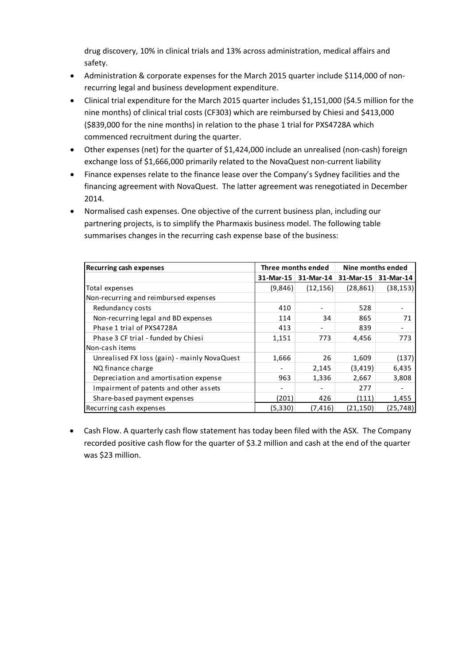drug discovery, 10% in clinical trials and 13% across administration, medical affairs and safety.

- Administration & corporate expenses for the March 2015 quarter include \$114,000 of nonrecurring legal and business development expenditure.
- Clinical trial expenditure for the March 2015 quarter includes \$1,151,000 (\$4.5 million for the nine months) of clinical trial costs (CF303) which are reimbursed by Chiesi and \$413,000 (\$839,000 for the nine months) in relation to the phase 1 trial for PXS4728A which commenced recruitment during the quarter.
- Other expenses (net) for the quarter of \$1,424,000 include an unrealised (non‐cash) foreign exchange loss of \$1,666,000 primarily related to the NovaQuest non‐current liability
- Finance expenses relate to the finance lease over the Company's Sydney facilities and the financing agreement with NovaQuest. The latter agreement was renegotiated in December 2014.
- Normalised cash expenses. One objective of the current business plan, including our partnering projects, is to simplify the Pharmaxis business model. The following table summarises changes in the recurring cash expense base of the business:

| <b>Recurring cash expenses</b>               | Three months ended |                       | Nine months ended |           |
|----------------------------------------------|--------------------|-----------------------|-------------------|-----------|
|                                              |                    | 31-Mar-15   31-Mar-14 | $31$ -Mar-15      | 31-Mar-14 |
| Total expenses                               | (9,846)            | (12, 156)             | (28, 861)         | (38, 153) |
| Non-recurring and reimbursed expenses        |                    |                       |                   |           |
| Redundancy costs                             | 410                |                       | 528               |           |
| Non-recurring legal and BD expenses          | 114                | 34                    | 865               | 71        |
| Phase 1 trial of PXS4728A                    | 413                |                       | 839               |           |
| Phase 3 CF trial - funded by Chiesi          | 1,151              | 773                   | 4,456             | 773       |
| Non-cash items                               |                    |                       |                   |           |
| Unrealised FX loss (gain) - mainly NovaQuest | 1,666              | 26                    | 1,609             | (137)     |
| NQ finance charge                            |                    | 2,145                 | (3, 419)          | 6,435     |
| Depreciation and amortisation expense        | 963                | 1,336                 | 2,667             | 3,808     |
| Impairment of patents and other assets       |                    |                       | 277               |           |
| Share-based payment expenses                 | (201)              | 426                   | (111)             | 1,455     |
| Recurring cash expenses                      | (5,330)            | (7, 416)              | (21,150)          | (25,748)  |

 Cash Flow. A quarterly cash flow statement has today been filed with the ASX. The Company recorded positive cash flow for the quarter of \$3.2 million and cash at the end of the quarter was \$23 million.